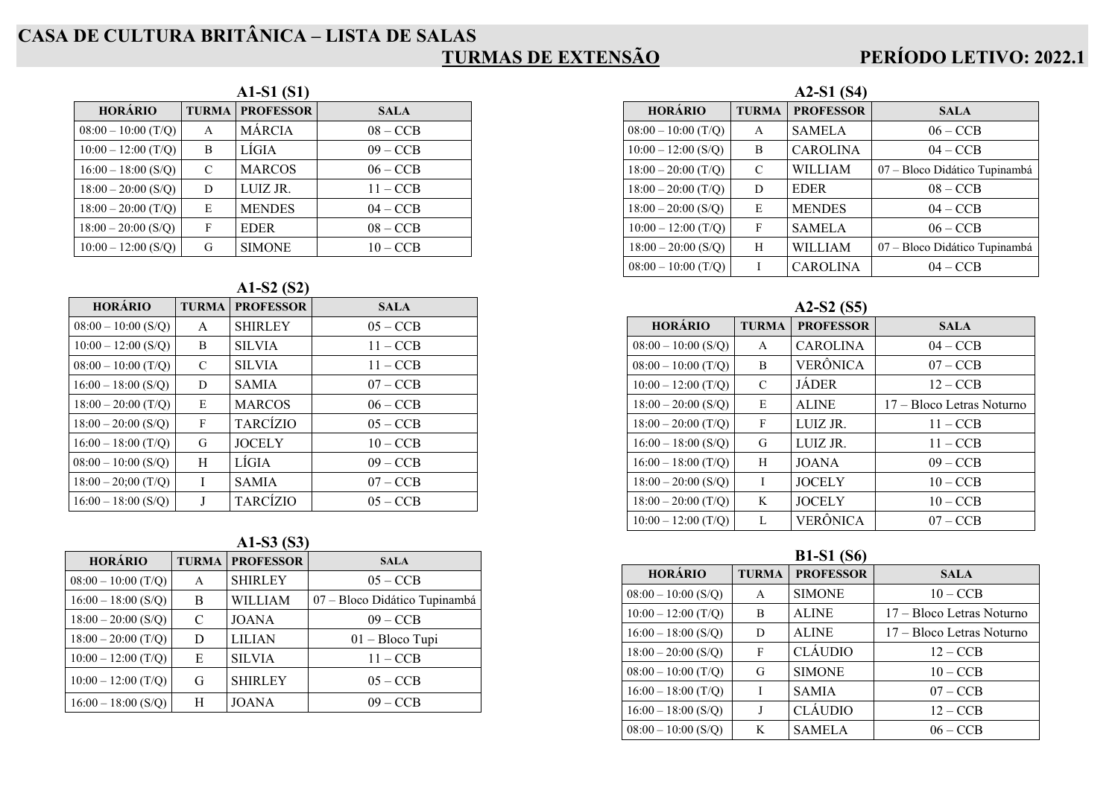# **CASA DE CULTURA BRITÂNICA – LISTA DE SALAS**

### **TURMAS DE EXTENSÃO**

### **PERÍODO LETIVO: 2022.1**

| A1-S1 (S1)            |              |                  |             |  |
|-----------------------|--------------|------------------|-------------|--|
| <b>HORÁRIO</b>        | <b>TURMA</b> | <b>PROFESSOR</b> | <b>SALA</b> |  |
| $08:00 - 10:00$ (T/Q) | A            | <b>MÁRCIA</b>    | $08 - CCB$  |  |
| $10:00 - 12:00$ (T/Q) | B            | LÍGIA            | $09 - CCB$  |  |
| $16:00 - 18:00$ (S/Q) | C            | <b>MARCOS</b>    | $06 - CCB$  |  |
| $18:00 - 20:00$ (S/Q) | D            | LUIZ JR.         | $11 - CCB$  |  |
| $18:00 - 20:00$ (T/Q) | E            | <b>MENDES</b>    | $04 - CCB$  |  |
| $18:00 - 20:00$ (S/Q) | F            | <b>EDER</b>      | $08 - CCB$  |  |
| $10:00 - 12:00$ (S/Q) | G            | <b>SIMONE</b>    | $10 - CCB$  |  |

#### **A1-S2 (S2)**

| <b>HORÁRIO</b>        | <b>TURMA</b> | <b>PROFESSOR</b> | <b>SALA</b> |
|-----------------------|--------------|------------------|-------------|
| $08:00 - 10:00$ (S/O) | A            | <b>SHIRLEY</b>   | $05 - CCB$  |
| $10:00 - 12:00$ (S/Q) | B            | <b>SILVIA</b>    | $11 - CCB$  |
| $08:00 - 10:00$ (T/Q) | C            | <b>SILVIA</b>    | $11 - CCB$  |
| $16:00 - 18:00$ (S/O) | D            | <b>SAMIA</b>     | $07 - CCB$  |
| $18:00 - 20:00$ (T/Q) | E            | <b>MARCOS</b>    | $06 - CCB$  |
| $18:00 - 20:00$ (S/Q) | F            | <b>TARCÍZIO</b>  | $05 - CCB$  |
| $16:00 - 18:00$ (T/O) | G            | <b>JOCELY</b>    | $10 - CCB$  |
| $08:00 - 10:00$ (S/Q) | H            | LÍGIA            | $09 - CCB$  |
| $18:00 - 20;00$ (T/Q) | I            | <b>SAMIA</b>     | $07 - CCB$  |
| $16:00 - 18:00$ (S/O) |              | <b>TARCIZIO</b>  | $05 - CCB$  |

| A1-S3 (S3) |  |
|------------|--|
|            |  |

| <b>HORÁRIO</b>        | <b>TURMA</b> | <b>PROFESSOR</b> | <b>SALA</b>                   |
|-----------------------|--------------|------------------|-------------------------------|
| $08:00 - 10:00$ (T/Q) | A            | <b>SHIRLEY</b>   | $05 - CCB$                    |
| $16:00 - 18:00$ (S/Q) | В            | WILLIAM          | 07 - Bloco Didático Tupinambá |
| $18:00 - 20:00$ (S/Q) | C            | <b>JOANA</b>     | $09 - CCB$                    |
| $18:00 - 20:00$ (T/Q) | D            | <b>LILIAN</b>    | $01 - \text{Bloco Tupi}$      |
| $10:00 - 12:00$ (T/Q) | E            | <b>SILVIA</b>    | $11 - CCB$                    |
| $10:00 - 12:00$ (T/Q) | G            | <b>SHIRLEY</b>   | $05 - CCB$                    |
| $16:00 - 18:00$ (S/Q) | H            | <b>JOANA</b>     | $09 - CCB$                    |

| $A2-S1(S4)$           |               |                  |                               |  |  |
|-----------------------|---------------|------------------|-------------------------------|--|--|
| <b>HORÁRIO</b>        | <b>TURMA</b>  | <b>PROFESSOR</b> | <b>SALA</b>                   |  |  |
| $08:00 - 10:00$ (T/Q) | A             | <b>SAMELA</b>    | $06 - CCB$                    |  |  |
| $10:00 - 12:00$ (S/Q) | B             | <b>CAROLINA</b>  | $04 - CCB$                    |  |  |
| $18:00 - 20:00$ (T/Q) | $\mathcal{C}$ | WILLIAM          | 07 - Bloco Didático Tupinambá |  |  |
| $18:00 - 20:00$ (T/Q) | D             | <b>EDER</b>      | $08 - CCB$                    |  |  |
| $18:00 - 20:00$ (S/Q) | E             | <b>MENDES</b>    | $04 - CCB$                    |  |  |
| $10:00 - 12:00$ (T/Q) | F             | <b>SAMELA</b>    | $06 - CCB$                    |  |  |
| $18:00 - 20:00$ (S/Q) | H             | <b>WILLIAM</b>   | 07 – Bloco Didático Tupinambá |  |  |
| $08:00 - 10:00$ (T/Q) | I             | <b>CAROLINA</b>  | $04 - CCB$                    |  |  |

#### **A2-S2 (S5)**

| <b>HORÁRIO</b>        | <b>TURMA</b> | <b>PROFESSOR</b> | <b>SALA</b>               |
|-----------------------|--------------|------------------|---------------------------|
| $08:00 - 10:00$ (S/O) | A            | <b>CAROLINA</b>  | $04 - CCB$                |
| $08:00 - 10:00$ (T/O) | B            | <b>VERÔNICA</b>  | $07 - CCB$                |
| $10:00 - 12:00$ (T/Q) | C            | <b>JÁDER</b>     | $12 - CCB$                |
| $18:00 - 20:00$ (S/Q) | E            | <b>ALINE</b>     | 17 – Bloco Letras Noturno |
| $18:00 - 20:00$ (T/Q) | F            | LUIZ JR.         | $11 - CCB$                |
| $16:00 - 18:00$ (S/O) | G            | LUIZ JR.         | $11 - CCB$                |
| $16:00 - 18:00$ (T/O) | H            | <b>JOANA</b>     | $09 - CCB$                |
| $18:00 - 20:00$ (S/O) | I            | <b>JOCELY</b>    | $10 - CCB$                |
| $18:00 - 20:00$ (T/O) | K            | <b>JOCELY</b>    | $10 - CCB$                |
| $10:00 - 12:00$ (T/Q) |              | VERÔNICA         | $07 - CCB$                |

#### **B1-S1 (S6)**

| <b>HORÁRIO</b>        | <b>TURMA</b> | <b>PROFESSOR</b> | <b>SALA</b>               |
|-----------------------|--------------|------------------|---------------------------|
| $08:00 - 10:00$ (S/O) | A            | <b>SIMONE</b>    | $10 - CCB$                |
| $10:00 - 12:00$ (T/Q) | B            | <b>ALINE</b>     | 17 – Bloco Letras Noturno |
| $16:00 - 18:00$ (S/Q) | D            | <b>ALINE</b>     | 17 – Bloco Letras Noturno |
| $18:00 - 20:00$ (S/Q) | F            | <b>CLÁUDIO</b>   | $12 - CCB$                |
| $08:00 - 10:00$ (T/O) | G            | <b>SIMONE</b>    | $10 - CCB$                |
| $16:00 - 18:00$ (T/Q) |              | <b>SAMIA</b>     | $07 - CCB$                |
| $16:00 - 18:00$ (S/Q) | J            | <b>CLÁUDIO</b>   | $12 - CCB$                |
| $08:00 - 10:00$ (S/Q) | K            | <b>SAMELA</b>    | $06 - CCB$                |